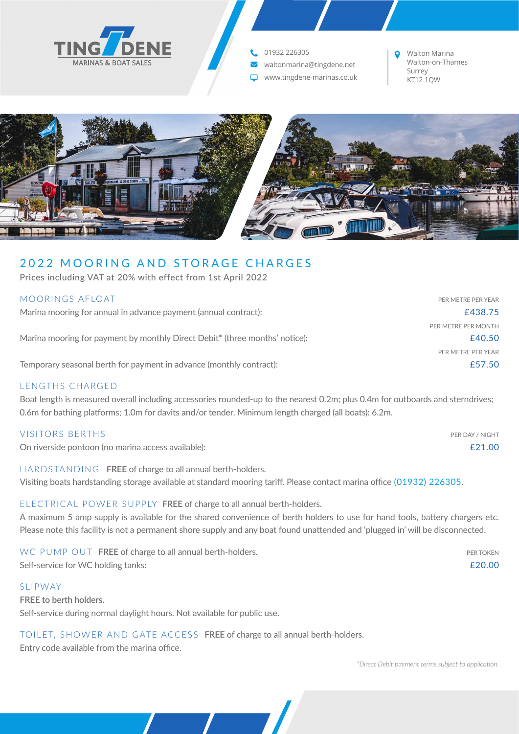

**t.** 01932 226305

**₩** waltonmarina@tingdene.net

Surrey www.tingdene-marinas.co.uk KT12 1QW

Walton Marina Walton-on-Thames



# 2022 MOORING AND STORAGE CHARGES

Prices including VAT at 20% with effect from 1st April 2022

| MOORINGS AFLOAT                                                                         | PER METRE PER YEAR  |
|-----------------------------------------------------------------------------------------|---------------------|
| Marina mooring for annual in advance payment (annual contract):                         | £438.75             |
|                                                                                         | PER METRE PER MONTH |
| Marina mooring for payment by monthly Direct Debit <sup>*</sup> (three months' notice): | £40.50              |
|                                                                                         | PER METRE PER YEAR  |
| Temporary seasonal berth for payment in advance (monthly contract):                     | £57.50              |
|                                                                                         |                     |

## LENGTHS CHARGED

Boat length is measured overall including accessories rounded-up to the nearest 0.2m; plus 0.4m for outboards and sterndrives; 0.6m for bathing platforms; 1.0m for davits and/or tender. Minimum length charged (all boats): 6.2m.

### VISITORS BERTHS PER DAY / NIGHT

On riverside pontoon (no marina access available): £21.00

HARDSTANDING **FREE** of charge to all annual berth-holders. Visiting boats hardstanding storage available at standard mooring tariff. Please contact marina office (01932) 226305.

## ELECTRICAL POWER SUPPLY **FREE** of charge to all annual berth-holders.

A maximum 5 amp supply is available for the shared convenience of berth holders to use for hand tools, battery chargers etc. Please note this facility is not a permanent shore supply and any boat found unattended and 'plugged in' will be disconnected.

|                                    | WC PUMP OUT FREE of charge to all annual berth-holders. | PER TOKEN |
|------------------------------------|---------------------------------------------------------|-----------|
| Self-service for WC holding tanks: |                                                         | £20.00    |

### SLIPWAY

**FREE to berth holders.** Self-service during normal daylight hours. Not available for public use.

## TOILET, SHOWER AND GATE ACCESS **FREE** of charge to all annual berth-holders.

Entry code available from the marina office.

*\*Direct Debit payment terms subject to application.*